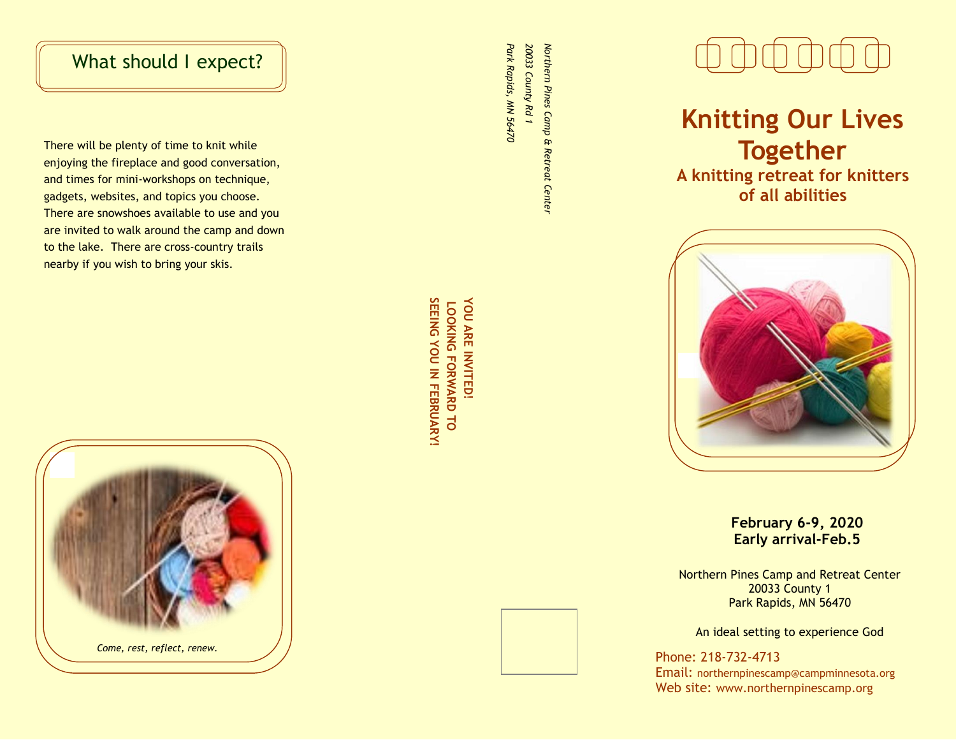# What should I expect?

There will be plenty of time to knit while enjoying the fireplace and good conversation, and times for mini -workshops on technique, gadgets, websites, and topics you choose. There are snowshoes available to use and you are invited to walk around the camp and down to the lake. There are cross -country trails nearby if you wish to bring your skis.



Park Rapids, MN 56470 20033 County Rd 1 Northern Pines Camp & Retreat Center *Park Rapids, MN 56470 20033 County Rd 1 Northern Pines Camp & Retreat Center*

SEEING YOU IN FEBRUARY! **SEEING YOU IN FEBRUARY!**YOU ARE INVITED! **YOU ARE INVITED! LOOKING FORWARD TO LOOKING FORWARD TO** 



**Knitting Our Lives Together A knitting retreat for knitters** 

**of all abilities**

**February 6 -9, 2020 Early arrival -Feb.5**

Northern Pines Camp and Retreat Center 20033 County 1 Park Rapids, MN 56470

An ideal setting to experience God

Phone: 218 -732 -4713 Email: northernpinescamp@campminnesota.org Web site: www.northernpinescamp.org